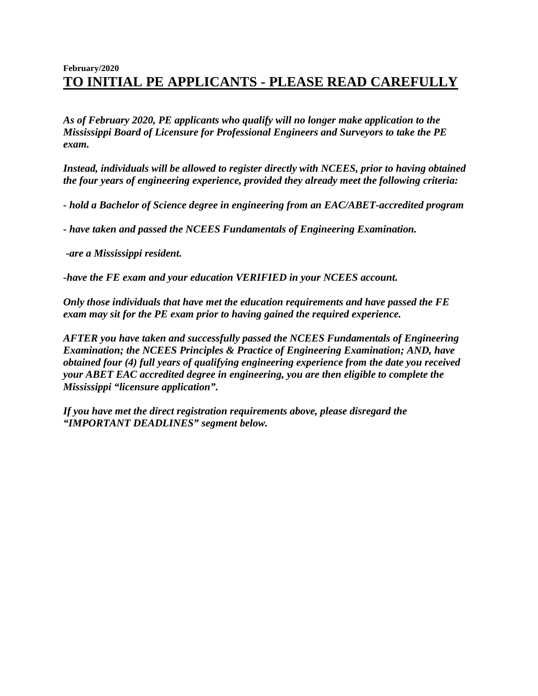## **February/2020 TO INITIAL PE APPLICANTS - PLEASE READ CAREFULLY**

*As of February 2020, PE applicants who qualify will no longer make application to the Mississippi Board of Licensure for Professional Engineers and Surveyors to take the PE exam.* 

*Instead, individuals will be allowed to register directly with NCEES, prior to having obtained the four years of engineering experience, provided they already meet the following criteria:*

*- hold a Bachelor of Science degree in engineering from an EAC/ABET-accredited program*

*- have taken and passed the NCEES Fundamentals of Engineering Examination.*

*-are a Mississippi resident.*

*-have the FE exam and your education VERIFIED in your NCEES account.*

*Only those individuals that have met the education requirements and have passed the FE exam may sit for the PE exam prior to having gained the required experience.* 

*AFTER you have taken and successfully passed the NCEES Fundamentals of Engineering Examination; the NCEES Principles & Practice of Engineering Examination; AND, have obtained four (4) full years of qualifying engineering experience from the date you received your ABET EAC accredited degree in engineering, you are then eligible to complete the Mississippi "licensure application".*

*If you have met the direct registration requirements above, please disregard the "IMPORTANT DEADLINES" segment below.*